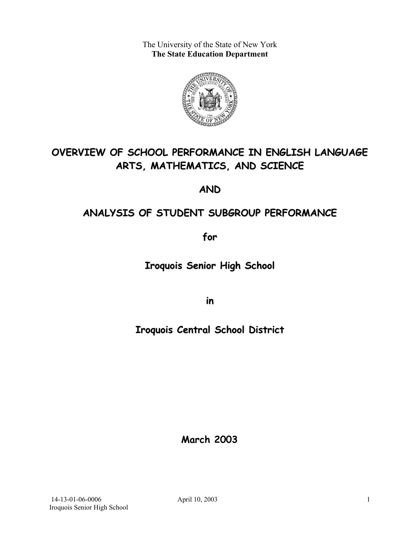The University of the State of New York **The State Education Department** 



# **OVERVIEW OF SCHOOL PERFORMANCE IN ENGLISH LANGUAGE ARTS, MATHEMATICS, AND SCIENCE**

**AND**

# **ANALYSIS OF STUDENT SUBGROUP PERFORMANCE**

**for**

**Iroquois Senior High School**

**in**

# **Iroquois Central School District**

**March 2003**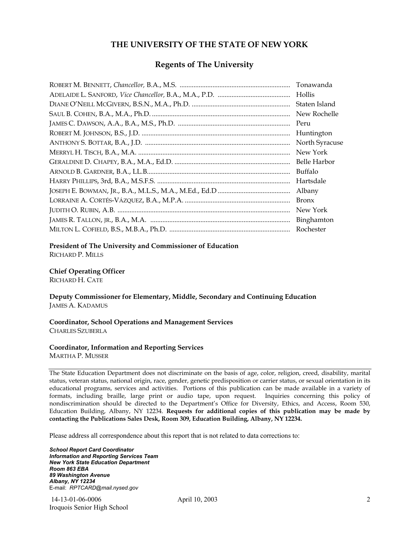### **THE UNIVERSITY OF THE STATE OF NEW YORK**

### **Regents of The University**

| Tonawanda      |
|----------------|
| Hollis         |
| Staten Island  |
| New Rochelle   |
| Peru           |
| Huntington     |
| North Syracuse |
| New York       |
| Belle Harbor   |
| Buffalo        |
| Hartsdale      |
| Albany         |
| <b>Bronx</b>   |
| New York       |
|                |
| Rochester      |

#### **President of The University and Commissioner of Education**

RICHARD P. MILLS

#### **Chief Operating Officer**

RICHARD H. CATE

**Deputy Commissioner for Elementary, Middle, Secondary and Continuing Education**  JAMES A. KADAMUS

#### **Coordinator, School Operations and Management Services**  CHARLES SZUBERLA

### **Coordinator, Information and Reporting Services**

MARTHA P. MUSSER

The State Education Department does not discriminate on the basis of age, color, religion, creed, disability, marital status, veteran status, national origin, race, gender, genetic predisposition or carrier status, or sexual orientation in its educational programs, services and activities. Portions of this publication can be made available in a variety of formats, including braille, large print or audio tape, upon request. Inquiries concerning this policy of nondiscrimination should be directed to the Department's Office for Diversity, Ethics, and Access, Room 530, Education Building, Albany, NY 12234. **Requests for additional copies of this publication may be made by contacting the Publications Sales Desk, Room 309, Education Building, Albany, NY 12234.** 

Please address all correspondence about this report that is not related to data corrections to:

*School Report Card Coordinator Information and Reporting Services Team New York State Education Department Room 863 EBA 89 Washington Avenue Albany, NY 12234*  E-mail: *RPTCARD@mail.nysed.gov*

 14-13-01-06-0006 April 10, 2003 Iroquois Senior High School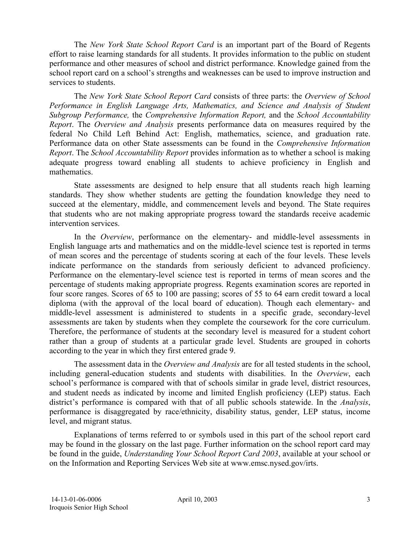The *New York State School Report Card* is an important part of the Board of Regents effort to raise learning standards for all students. It provides information to the public on student performance and other measures of school and district performance. Knowledge gained from the school report card on a school's strengths and weaknesses can be used to improve instruction and services to students.

The *New York State School Report Card* consists of three parts: the *Overview of School Performance in English Language Arts, Mathematics, and Science and Analysis of Student Subgroup Performance,* the *Comprehensive Information Report,* and the *School Accountability Report*. The *Overview and Analysis* presents performance data on measures required by the federal No Child Left Behind Act: English, mathematics, science, and graduation rate. Performance data on other State assessments can be found in the *Comprehensive Information Report*. The *School Accountability Report* provides information as to whether a school is making adequate progress toward enabling all students to achieve proficiency in English and mathematics.

State assessments are designed to help ensure that all students reach high learning standards. They show whether students are getting the foundation knowledge they need to succeed at the elementary, middle, and commencement levels and beyond. The State requires that students who are not making appropriate progress toward the standards receive academic intervention services.

In the *Overview*, performance on the elementary- and middle-level assessments in English language arts and mathematics and on the middle-level science test is reported in terms of mean scores and the percentage of students scoring at each of the four levels. These levels indicate performance on the standards from seriously deficient to advanced proficiency. Performance on the elementary-level science test is reported in terms of mean scores and the percentage of students making appropriate progress. Regents examination scores are reported in four score ranges. Scores of 65 to 100 are passing; scores of 55 to 64 earn credit toward a local diploma (with the approval of the local board of education). Though each elementary- and middle-level assessment is administered to students in a specific grade, secondary-level assessments are taken by students when they complete the coursework for the core curriculum. Therefore, the performance of students at the secondary level is measured for a student cohort rather than a group of students at a particular grade level. Students are grouped in cohorts according to the year in which they first entered grade 9.

The assessment data in the *Overview and Analysis* are for all tested students in the school, including general-education students and students with disabilities. In the *Overview*, each school's performance is compared with that of schools similar in grade level, district resources, and student needs as indicated by income and limited English proficiency (LEP) status. Each district's performance is compared with that of all public schools statewide. In the *Analysis*, performance is disaggregated by race/ethnicity, disability status, gender, LEP status, income level, and migrant status.

Explanations of terms referred to or symbols used in this part of the school report card may be found in the glossary on the last page. Further information on the school report card may be found in the guide, *Understanding Your School Report Card 2003*, available at your school or on the Information and Reporting Services Web site at www.emsc.nysed.gov/irts.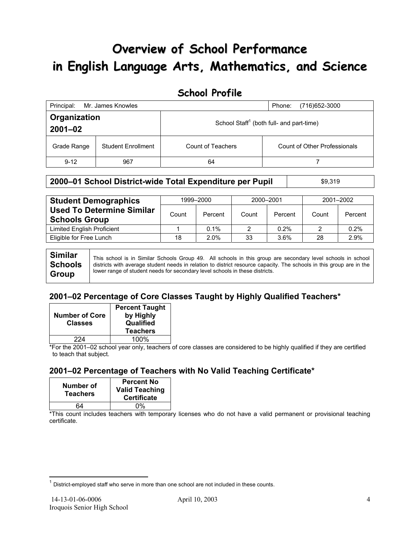# **Overview of School Performance in English Language Arts, Mathematics, and Science**

## **School Profile**

| Principal:                  | Mr. James Knowles         | (716) 652-3000<br>Phone:                             |                              |
|-----------------------------|---------------------------|------------------------------------------------------|------------------------------|
| Organization<br>$2001 - 02$ |                           | School Staff <sup>1</sup> (both full- and part-time) |                              |
| Grade Range                 | <b>Student Enrollment</b> | Count of Teachers                                    | Count of Other Professionals |
| $9 - 12$                    | 967                       | 64                                                   |                              |

## **2000–01 School District-wide Total Expenditure per Pupil | \$9,319**

| <b>Student Demographics</b>                              |       | 1999-2000 | 2000-2001 |         | 2001-2002 |         |  |
|----------------------------------------------------------|-------|-----------|-----------|---------|-----------|---------|--|
| <b>Used To Determine Similar</b><br><b>Schools Group</b> | Count | Percent   | Count     | Percent | Count     | Percent |  |
| Limited English Proficient                               |       | $0.1\%$   | 2         | 0.2%    |           | 0.2%    |  |
| Eligible for Free Lunch                                  | 18    | 2.0%      | 33        | 3.6%    | 28        | 2.9%    |  |
|                                                          |       |           |           |         |           |         |  |

**Similar Schools Group**  This school is in Similar Schools Group 49. All schools in this group are secondary level schools in school districts with average student needs in relation to district resource capacity. The schools in this group are in the lower range of student needs for secondary level schools in these districts.

## **2001–02 Percentage of Core Classes Taught by Highly Qualified Teachers\***

| <b>Number of Core</b><br><b>Classes</b> | <b>Percent Taught</b><br>by Highly<br>Qualified<br><b>Teachers</b> |
|-----------------------------------------|--------------------------------------------------------------------|
| 224                                     | 100%                                                               |

\*For the 2001–02 school year only, teachers of core classes are considered to be highly qualified if they are certified to teach that subject.

## **2001–02 Percentage of Teachers with No Valid Teaching Certificate\***

| Number of<br><b>Teachers</b> | <b>Percent No</b><br><b>Valid Teaching</b><br><b>Certificate</b> |
|------------------------------|------------------------------------------------------------------|
| 64                           | በ%                                                               |

\*This count includes teachers with temporary licenses who do not have a valid permanent or provisional teaching certificate.

 $\overline{a}$ 

 $1$  District-employed staff who serve in more than one school are not included in these counts.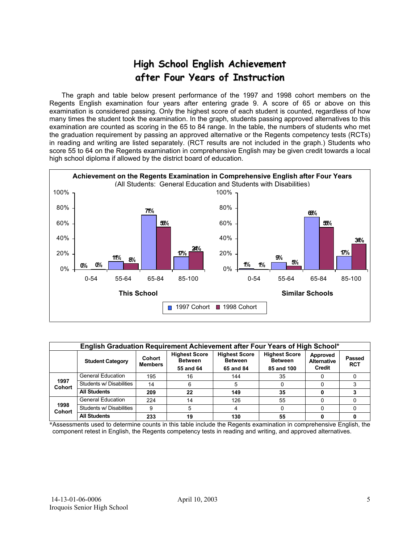# **High School English Achievement after Four Years of Instruction**

 The graph and table below present performance of the 1997 and 1998 cohort members on the Regents English examination four years after entering grade 9. A score of 65 or above on this examination is considered passing. Only the highest score of each student is counted, regardless of how many times the student took the examination. In the graph, students passing approved alternatives to this examination are counted as scoring in the 65 to 84 range. In the table, the numbers of students who met the graduation requirement by passing an approved alternative or the Regents competency tests (RCTs) in reading and writing are listed separately. (RCT results are not included in the graph.) Students who score 55 to 64 on the Regents examination in comprehensive English may be given credit towards a local high school diploma if allowed by the district board of education.



| English Graduation Requirement Achievement after Four Years of High School* |                          |                          |                                                     |                                                     |                                                      |                                          |                      |  |  |  |
|-----------------------------------------------------------------------------|--------------------------|--------------------------|-----------------------------------------------------|-----------------------------------------------------|------------------------------------------------------|------------------------------------------|----------------------|--|--|--|
|                                                                             | <b>Student Category</b>  | Cohort<br><b>Members</b> | <b>Highest Score</b><br><b>Between</b><br>55 and 64 | <b>Highest Score</b><br><b>Between</b><br>65 and 84 | <b>Highest Score</b><br><b>Between</b><br>85 and 100 | Approved<br><b>Alternative</b><br>Credit | Passed<br><b>RCT</b> |  |  |  |
|                                                                             | <b>General Education</b> | 195                      | 16                                                  | 144                                                 | 35                                                   |                                          |                      |  |  |  |
| 1997<br><b>Cohort</b>                                                       | Students w/ Disabilities | 14                       | 6                                                   | 5                                                   |                                                      |                                          |                      |  |  |  |
|                                                                             | <b>All Students</b>      | 209                      | 22                                                  | 149                                                 | 35                                                   |                                          |                      |  |  |  |
|                                                                             | <b>General Education</b> | 224                      | 14                                                  | 126                                                 | 55                                                   |                                          |                      |  |  |  |
| 1998<br><b>Cohort</b>                                                       | Students w/ Disabilities | 9                        | 5                                                   |                                                     |                                                      |                                          |                      |  |  |  |
|                                                                             | <b>All Students</b>      | 233                      | 19                                                  | 130                                                 | 55                                                   |                                          |                      |  |  |  |

\*Assessments used to determine counts in this table include the Regents examination in comprehensive English, the component retest in English, the Regents competency tests in reading and writing, and approved alternatives.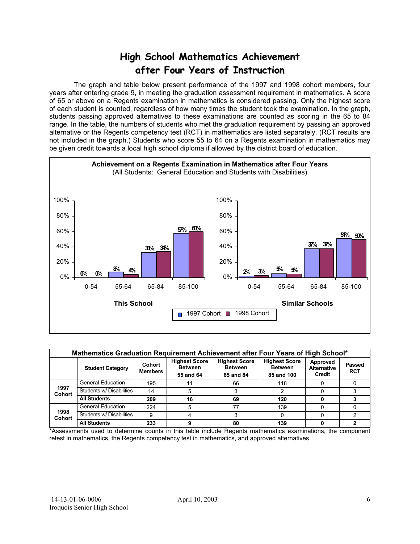# **High School Mathematics Achievement after Four Years of Instruction**

 The graph and table below present performance of the 1997 and 1998 cohort members, four years after entering grade 9, in meeting the graduation assessment requirement in mathematics. A score of 65 or above on a Regents examination in mathematics is considered passing. Only the highest score of each student is counted, regardless of how many times the student took the examination. In the graph, students passing approved alternatives to these examinations are counted as scoring in the 65 to 84 range. In the table, the numbers of students who met the graduation requirement by passing an approved alternative or the Regents competency test (RCT) in mathematics are listed separately. (RCT results are not included in the graph.) Students who score 55 to 64 on a Regents examination in mathematics may be given credit towards a local high school diploma if allowed by the district board of education.



|                       | Mathematics Graduation Requirement Achievement after Four Years of High School* |                          |                                                     |                                                     |                                                      |                                          |                             |  |  |  |  |
|-----------------------|---------------------------------------------------------------------------------|--------------------------|-----------------------------------------------------|-----------------------------------------------------|------------------------------------------------------|------------------------------------------|-----------------------------|--|--|--|--|
|                       | <b>Student Category</b>                                                         | Cohort<br><b>Members</b> | <b>Highest Score</b><br><b>Between</b><br>55 and 64 | <b>Highest Score</b><br><b>Between</b><br>65 and 84 | <b>Highest Score</b><br><b>Between</b><br>85 and 100 | Approved<br><b>Alternative</b><br>Credit | <b>Passed</b><br><b>RCT</b> |  |  |  |  |
|                       | <b>General Education</b>                                                        | 195                      |                                                     | 66                                                  | 118                                                  |                                          |                             |  |  |  |  |
| 1997<br><b>Cohort</b> | Students w/ Disabilities                                                        | 14                       | 5                                                   |                                                     |                                                      |                                          |                             |  |  |  |  |
|                       | <b>All Students</b>                                                             | 209                      | 16                                                  | 69                                                  | 120                                                  |                                          |                             |  |  |  |  |
|                       | <b>General Education</b>                                                        | 224                      | 5                                                   | 77                                                  | 139                                                  |                                          |                             |  |  |  |  |
| 1998<br><b>Cohort</b> | Students w/ Disabilities                                                        | 9                        | 4                                                   |                                                     |                                                      |                                          |                             |  |  |  |  |
|                       | <b>All Students</b>                                                             | 233                      |                                                     | 80                                                  | 139                                                  |                                          |                             |  |  |  |  |

\*Assessments used to determine counts in this table include Regents mathematics examinations, the component retest in mathematics, the Regents competency test in mathematics, and approved alternatives.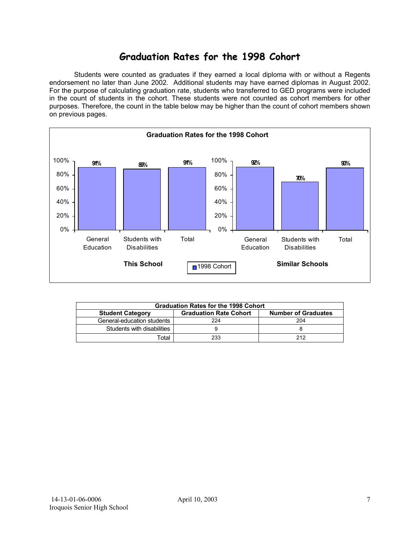# **Graduation Rates for the 1998 Cohort**

 Students were counted as graduates if they earned a local diploma with or without a Regents endorsement no later than June 2002. Additional students may have earned diplomas in August 2002. For the purpose of calculating graduation rate, students who transferred to GED programs were included in the count of students in the cohort. These students were not counted as cohort members for other purposes. Therefore, the count in the table below may be higher than the count of cohort members shown on previous pages.



| <b>Graduation Rates for the 1998 Cohort</b> |                               |                            |  |  |  |  |  |  |
|---------------------------------------------|-------------------------------|----------------------------|--|--|--|--|--|--|
| <b>Student Category</b>                     | <b>Graduation Rate Cohort</b> | <b>Number of Graduates</b> |  |  |  |  |  |  |
| General-education students                  | 224                           | 204                        |  |  |  |  |  |  |
| Students with disabilities                  |                               |                            |  |  |  |  |  |  |
| Total                                       | 233                           | 212                        |  |  |  |  |  |  |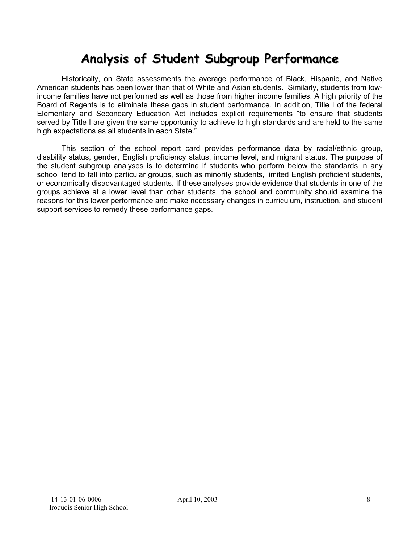# **Analysis of Student Subgroup Performance**

Historically, on State assessments the average performance of Black, Hispanic, and Native American students has been lower than that of White and Asian students. Similarly, students from lowincome families have not performed as well as those from higher income families. A high priority of the Board of Regents is to eliminate these gaps in student performance. In addition, Title I of the federal Elementary and Secondary Education Act includes explicit requirements "to ensure that students served by Title I are given the same opportunity to achieve to high standards and are held to the same high expectations as all students in each State."

This section of the school report card provides performance data by racial/ethnic group, disability status, gender, English proficiency status, income level, and migrant status. The purpose of the student subgroup analyses is to determine if students who perform below the standards in any school tend to fall into particular groups, such as minority students, limited English proficient students, or economically disadvantaged students. If these analyses provide evidence that students in one of the groups achieve at a lower level than other students, the school and community should examine the reasons for this lower performance and make necessary changes in curriculum, instruction, and student support services to remedy these performance gaps.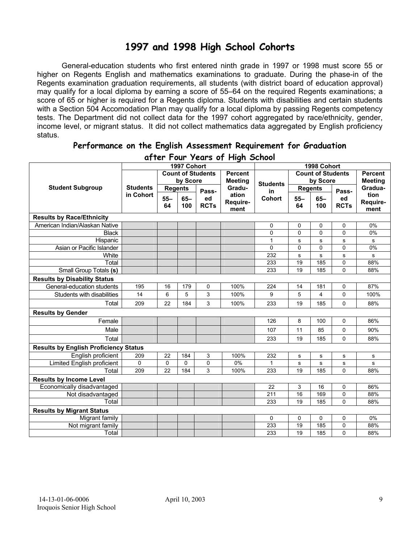# **1997 and 1998 High School Cohorts**

General-education students who first entered ninth grade in 1997 or 1998 must score 55 or higher on Regents English and mathematics examinations to graduate. During the phase-in of the Regents examination graduation requirements, all students (with district board of education approval) may qualify for a local diploma by earning a score of 55–64 on the required Regents examinations; a score of 65 or higher is required for a Regents diploma. Students with disabilities and certain students with a Section 504 Accomodation Plan may qualify for a local diploma by passing Regents competency tests. The Department did not collect data for the 1997 cohort aggregated by race/ethnicity, gender, income level, or migrant status. It did not collect mathematics data aggregated by English proficiency status.

| a) ier I our zears of Flight School          |                 |                |             |                          |                 |             |                          |                |                |                |
|----------------------------------------------|-----------------|----------------|-------------|--------------------------|-----------------|-------------|--------------------------|----------------|----------------|----------------|
|                                              |                 |                | 1997 Cohort |                          |                 |             |                          | 1998 Cohort    |                |                |
|                                              |                 |                |             | <b>Count of Students</b> | <b>Percent</b>  |             | <b>Count of Students</b> |                |                | <b>Percent</b> |
|                                              |                 | by Score       |             | <b>Meeting</b>           | <b>Students</b> | by Score    |                          |                | <b>Meeting</b> |                |
| <b>Student Subgroup</b>                      | <b>Students</b> | <b>Regents</b> |             | Pass-                    | Gradu-          | in          |                          | <b>Regents</b> | Pass-          | Gradua-        |
|                                              | in Cohort       | $55 -$         | $65 -$      | ed                       | ation           | Cohort      | $55 -$                   | $65-$          | ed             | tion           |
|                                              |                 | 64             | 100         | <b>RCTs</b>              | Require-        |             | 64                       | 100            | <b>RCTs</b>    | Require-       |
|                                              |                 |                |             |                          | ment            |             |                          |                |                | ment           |
| <b>Results by Race/Ethnicity</b>             |                 |                |             |                          |                 |             |                          |                |                |                |
| American Indian/Alaskan Native               |                 |                |             |                          |                 | 0           | 0                        | 0              | 0              | 0%             |
| <b>Black</b>                                 |                 |                |             |                          |                 | $\mathbf 0$ | $\mathbf 0$              | 0              | $\mathbf 0$    | 0%             |
| Hispanic                                     |                 |                |             |                          |                 | 1           | s                        | $\mathbf s$    | s              | s              |
| Asian or Pacific Islander                    |                 |                |             |                          |                 | $\mathbf 0$ | 0                        | $\pmb{0}$      | 0              | 0%             |
| White                                        |                 |                |             |                          |                 | 232         | s                        | s              | s              | s              |
| Total                                        |                 |                |             |                          |                 | 233         | 19                       | 185            | 0              | 88%            |
| Small Group Totals (s)                       |                 |                |             |                          |                 | 233         | 19                       | 185            | 0              | 88%            |
| <b>Results by Disability Status</b>          |                 |                |             |                          |                 |             |                          |                |                |                |
| General-education students                   | 195             | 16             | 179         | 0                        | 100%            | 224         | 14                       | 181            | 0              | 87%            |
| Students with disabilities                   | 14              | 6              | 5           | 3                        | 100%            | 9           | 5                        | $\overline{4}$ | 0              | 100%           |
| Total                                        | 209             | 22             | 184         | 3                        | 100%            | 233         | 19                       | 185            | 0              | 88%            |
| <b>Results by Gender</b>                     |                 |                |             |                          |                 |             |                          |                |                |                |
| Female                                       |                 |                |             |                          |                 | 126         | 8                        | 100            | 0              | 86%            |
| Male                                         |                 |                |             |                          |                 | 107         | 11                       | 85             | 0              | 90%            |
| Total                                        |                 |                |             |                          |                 | 233         | 19                       | 185            | 0              | 88%            |
| <b>Results by English Proficiency Status</b> |                 |                |             |                          |                 |             |                          |                |                |                |
| English proficient                           | 209             | 22             | 184         | 3                        | 100%            | 232         | s                        | s              | s              | s              |
| Limited English proficient                   | 0               | $\mathbf 0$    | 0           | 0                        | 0%              | 1           | s                        | s              | s              | s              |
| Total                                        | 209             | 22             | 184         | 3                        | 100%            | 233         | 19                       | 185            | 0              | 88%            |
| <b>Results by Income Level</b>               |                 |                |             |                          |                 |             |                          |                |                |                |
| Economically disadvantaged                   |                 |                |             |                          |                 | 22          | 3                        | 16             | 0              | 86%            |
| Not disadvantaged                            |                 |                |             |                          |                 | 211         | 16                       | 169            | 0              | 88%            |
| Total                                        |                 |                |             |                          |                 | 233         | 19                       | 185            | 0              | 88%            |
| <b>Results by Migrant Status</b>             |                 |                |             |                          |                 |             |                          |                |                |                |
| Migrant family                               |                 |                |             |                          |                 | 0           | 0                        | $\mathbf 0$    | 0              | 0%             |
| Not migrant family                           |                 |                |             |                          |                 | 233         | 19                       | 185            | 0              | 88%            |
| Total                                        |                 |                |             |                          |                 | 233         | 19                       | 185            | 0              | 88%            |

### **Performance on the English Assessment Requirement for Graduation after Four Years of High School**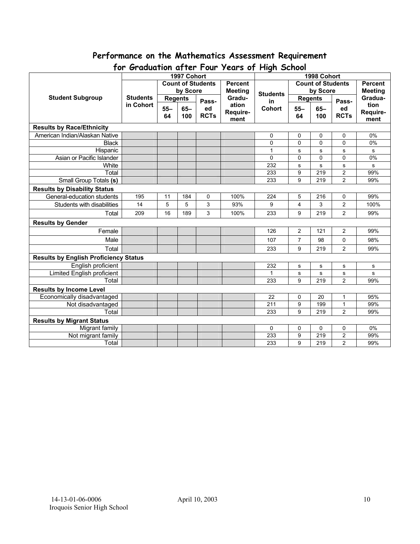# **Performance on the Mathematics Assessment Requirement**

| $\sim$ , aguarion a, ior i var<br>1997 Cohort |                          |                |        | roars of rught sensor<br>1998 Cohort |          |                          |                |       |                |             |
|-----------------------------------------------|--------------------------|----------------|--------|--------------------------------------|----------|--------------------------|----------------|-------|----------------|-------------|
|                                               | <b>Count of Students</b> |                |        | <b>Percent</b>                       |          | <b>Count of Students</b> |                |       | <b>Percent</b> |             |
|                                               |                          | by Score       |        | <b>Meeting</b>                       |          | by Score                 |                |       | <b>Meeting</b> |             |
| <b>Student Subgroup</b>                       | <b>Students</b>          | <b>Regents</b> |        |                                      | Gradu-   | <b>Students</b>          | <b>Regents</b> |       |                | Gradua-     |
|                                               | in Cohort                | $55 -$         | $65 -$ | Pass-<br>ed                          | ation    | in<br><b>Cohort</b>      | $55 -$         | $65-$ | Pass-<br>ed    | tion        |
|                                               |                          | 64             | 100    | <b>RCTs</b>                          | Require- |                          | 64             | 100   | <b>RCTs</b>    | Require-    |
|                                               |                          |                |        |                                      | ment     |                          |                |       |                | ment        |
| <b>Results by Race/Ethnicity</b>              |                          |                |        |                                      |          |                          |                |       |                |             |
| American Indian/Alaskan Native                |                          |                |        |                                      |          | 0                        | 0              | 0     | 0              | 0%          |
| <b>Black</b>                                  |                          |                |        |                                      |          | 0                        | 0              | 0     | 0              | $0\%$       |
| Hispanic                                      |                          |                |        |                                      |          | 1                        | ${\bf s}$      | s     | $\sf s$        | $\mathbf s$ |
| Asian or Pacific Islander                     |                          |                |        |                                      |          | $\Omega$                 | $\mathbf 0$    | 0     | 0              | 0%          |
| White                                         |                          |                |        |                                      |          | 232                      | s              | s     | $\mathbf s$    | s           |
| Total                                         |                          |                |        |                                      |          | 233                      | 9              | 219   | $\overline{2}$ | 99%         |
| Small Group Totals (s)                        |                          |                |        |                                      |          | 233                      | 9              | 219   | $\overline{2}$ | 99%         |
| <b>Results by Disability Status</b>           |                          |                |        |                                      |          |                          |                |       |                |             |
| General-education students                    | 195                      | 11             | 184    | 0                                    | 100%     | 224                      | 5              | 216   | 0              | 99%         |
| Students with disabilities                    | 14                       | 5              | 5      | 3                                    | 93%      | 9                        | $\overline{4}$ | 3     | $\overline{c}$ | 100%        |
| Total                                         | 209                      | 16             | 189    | 3                                    | 100%     | 233                      | 9              | 219   | $\overline{2}$ | 99%         |
| <b>Results by Gender</b>                      |                          |                |        |                                      |          |                          |                |       |                |             |
| Female                                        |                          |                |        |                                      |          | 126                      | $\overline{2}$ | 121   | $\overline{2}$ | 99%         |
| Male                                          |                          |                |        |                                      |          | 107                      | $\overline{7}$ | 98    | 0              | 98%         |
| Total                                         |                          |                |        |                                      |          | 233                      | 9              | 219   | $\overline{2}$ | 99%         |
| <b>Results by English Proficiency Status</b>  |                          |                |        |                                      |          |                          |                |       |                |             |
| English proficient                            |                          |                |        |                                      |          | 232                      | $\mathbf s$    | s     | $\mathbf s$    | $\mathbf s$ |
| <b>Limited English proficient</b>             |                          |                |        |                                      |          |                          | $\mathbf s$    | s     | $\mathbf s$    | s           |
| Total                                         |                          |                |        |                                      |          | 233                      | 9              | 219   | $\overline{2}$ | 99%         |
| <b>Results by Income Level</b>                |                          |                |        |                                      |          |                          |                |       |                |             |
| Economically disadvantaged                    |                          |                |        |                                      |          | 22                       | 0              | 20    | 1              | 95%         |
| Not disadvantaged                             |                          |                |        |                                      |          | 211                      | 9              | 199   | $\mathbf{1}$   | 99%         |
| Total                                         |                          |                |        |                                      |          | 233                      | 9              | 219   | $\overline{2}$ | 99%         |
| <b>Results by Migrant Status</b>              |                          |                |        |                                      |          |                          |                |       |                |             |
| Migrant family                                |                          |                |        |                                      |          | 0                        | 0              | 0     | 0              | 0%          |
| Not migrant family                            |                          |                |        |                                      |          | 233                      | 9              | 219   | $\overline{c}$ | 99%         |
| Total                                         |                          |                |        |                                      |          | 233                      | 9              | 219   | $\overline{2}$ | 99%         |

## **for Graduation after Four Years of High School**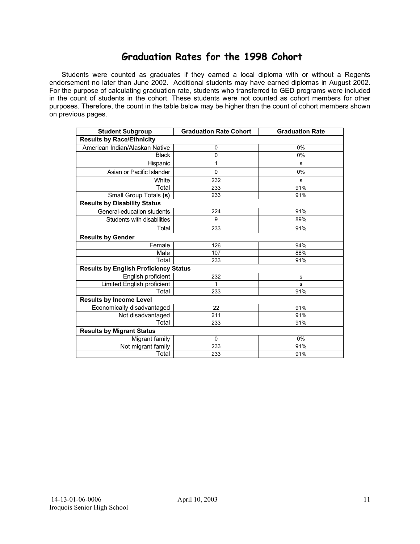## **Graduation Rates for the 1998 Cohort**

 Students were counted as graduates if they earned a local diploma with or without a Regents endorsement no later than June 2002. Additional students may have earned diplomas in August 2002. For the purpose of calculating graduation rate, students who transferred to GED programs were included in the count of students in the cohort. These students were not counted as cohort members for other purposes. Therefore, the count in the table below may be higher than the count of cohort members shown on previous pages.

| <b>Student Subgroup</b>                      | <b>Graduation Rate Cohort</b> | <b>Graduation Rate</b> |  |  |  |  |  |  |  |
|----------------------------------------------|-------------------------------|------------------------|--|--|--|--|--|--|--|
| <b>Results by Race/Ethnicity</b>             |                               |                        |  |  |  |  |  |  |  |
| American Indian/Alaskan Native               | 0                             | 0%                     |  |  |  |  |  |  |  |
| <b>Black</b>                                 | $\mathbf 0$                   | 0%                     |  |  |  |  |  |  |  |
| Hispanic                                     | 1                             | s                      |  |  |  |  |  |  |  |
| Asian or Pacific Islander                    | $\mathbf 0$                   | 0%                     |  |  |  |  |  |  |  |
| White                                        | 232                           | s                      |  |  |  |  |  |  |  |
| Total                                        | 233                           | 91%                    |  |  |  |  |  |  |  |
| Small Group Totals (s)                       | 233                           | 91%                    |  |  |  |  |  |  |  |
| <b>Results by Disability Status</b>          |                               |                        |  |  |  |  |  |  |  |
| General-education students                   | 224                           | 91%                    |  |  |  |  |  |  |  |
| Students with disabilities                   | 9                             | 89%                    |  |  |  |  |  |  |  |
| Total                                        | 233                           | 91%                    |  |  |  |  |  |  |  |
| <b>Results by Gender</b>                     |                               |                        |  |  |  |  |  |  |  |
| Female                                       | 126                           | 94%                    |  |  |  |  |  |  |  |
| Male                                         | 107                           | 88%                    |  |  |  |  |  |  |  |
| Total                                        | 233                           | 91%                    |  |  |  |  |  |  |  |
| <b>Results by English Proficiency Status</b> |                               |                        |  |  |  |  |  |  |  |
| English proficient                           | 232                           | s                      |  |  |  |  |  |  |  |
| Limited English proficient                   | 1                             | s                      |  |  |  |  |  |  |  |
| Total                                        | 233                           | 91%                    |  |  |  |  |  |  |  |
| <b>Results by Income Level</b>               |                               |                        |  |  |  |  |  |  |  |
| Economically disadvantaged                   | 22                            | 91%                    |  |  |  |  |  |  |  |
| Not disadvantaged                            | 211                           | 91%                    |  |  |  |  |  |  |  |
| Total                                        | 233                           | 91%                    |  |  |  |  |  |  |  |
| <b>Results by Migrant Status</b>             |                               |                        |  |  |  |  |  |  |  |
| Migrant family                               | 0                             | 0%                     |  |  |  |  |  |  |  |
| Not migrant family                           | 233                           | 91%                    |  |  |  |  |  |  |  |
| Total                                        | 233                           | 91%                    |  |  |  |  |  |  |  |